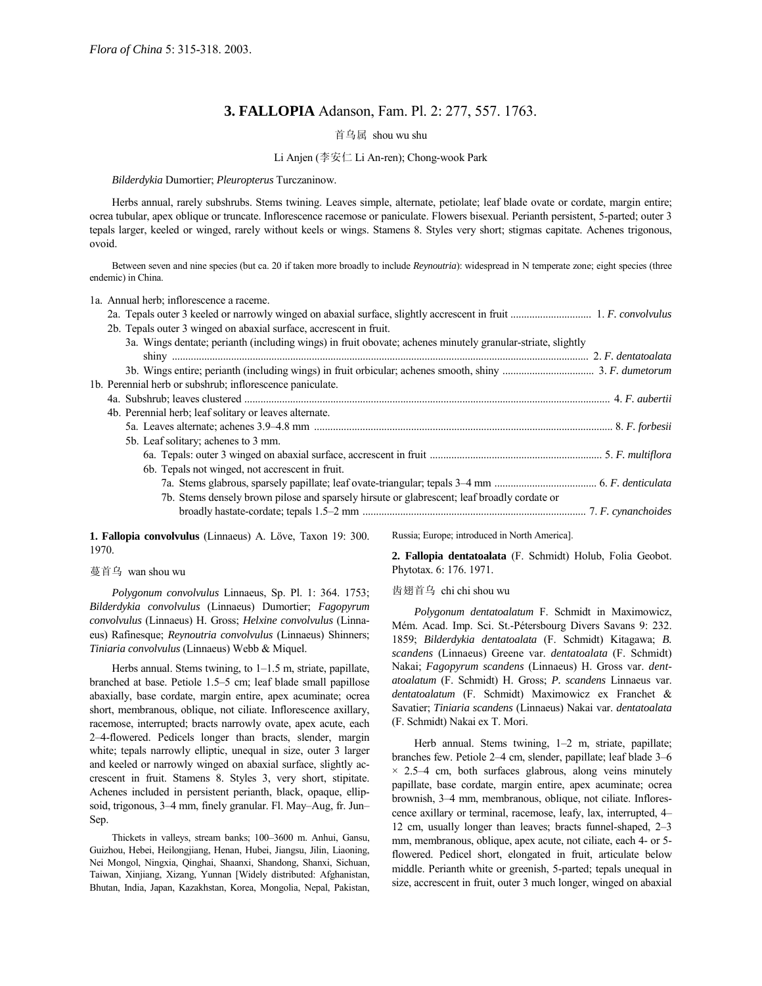# **3. FALLOPIA** Adanson, Fam. Pl. 2: 277, 557. 1763.

## 首乌属 shou wu shu

## Li Anjen (李安仁 Li An-ren); Chong-wook Park

*Bilderdykia* Dumortier; *Pleuropterus* Turczaninow.

Herbs annual, rarely subshrubs. Stems twining. Leaves simple, alternate, petiolate; leaf blade ovate or cordate, margin entire; ocrea tubular, apex oblique or truncate. Inflorescence racemose or paniculate. Flowers bisexual. Perianth persistent, 5-parted; outer 3 tepals larger, keeled or winged, rarely without keels or wings. Stamens 8. Styles very short; stigmas capitate. Achenes trigonous, ovoid.

Between seven and nine species (but ca. 20 if taken more broadly to include *Reynoutria*): widespread in N temperate zone; eight species (three endemic) in China.

1a. Annual herb; inflorescence a raceme.

| 2b. Tepals outer 3 winged on abaxial surface, accressent in fruit.                                          |  |
|-------------------------------------------------------------------------------------------------------------|--|
| 3a. Wings dentate; perianth (including wings) in fruit obovate; achenes minutely granular-striate, slightly |  |
|                                                                                                             |  |
| 3. P. dumetorum 3. F. dumetorum 3. F. dumetorum 3. F. dumetorum 3. F. dumetorum 3. F. dumetorum             |  |
| 1b. Perennial herb or subshrub; inflorescence paniculate.                                                   |  |
|                                                                                                             |  |
| 4b. Perennial herb; leaf solitary or leaves alternate.                                                      |  |
|                                                                                                             |  |
| 5b. Leaf solitary; achenes to 3 mm.                                                                         |  |
|                                                                                                             |  |
| 6b. Tepals not winged, not accressent in fruit.                                                             |  |
|                                                                                                             |  |
| 7b. Stems densely brown pilose and sparsely hirsute or glabrescent; leaf broadly cordate or                 |  |
|                                                                                                             |  |

1. Fallopia convolvulus (Linnaeus) A. Löve, Taxon 19: 300. 1970.

#### 蔓首乌 wan shou wu

*Polygonum convolvulus* Linnaeus, Sp. Pl. 1: 364. 1753; *Bilderdykia convolvulus* (Linnaeus) Dumortier; *Fagopyrum convolvulus* (Linnaeus) H. Gross; *Helxine convolvulus* (Linnaeus) Rafinesque; *Reynoutria convolvulus* (Linnaeus) Shinners; *Tiniaria convolvulus* (Linnaeus) Webb & Miquel.

Herbs annual. Stems twining, to  $1-1.5$  m, striate, papillate, branched at base. Petiole 1.5–5 cm; leaf blade small papillose abaxially, base cordate, margin entire, apex acuminate; ocrea short, membranous, oblique, not ciliate. Inflorescence axillary, racemose, interrupted; bracts narrowly ovate, apex acute, each 2-4-flowered. Pedicels longer than bracts, slender, margin white; tepals narrowly elliptic, unequal in size, outer 3 larger and keeled or narrowly winged on abaxial surface, slightly accrescent in fruit. Stamens 8. Styles 3, very short, stipitate. Achenes included in persistent perianth, black, opaque, ellipsoid, trigonous, 3–4 mm, finely granular. Fl. May–Aug, fr. Jun– Sep.

Thickets in valleys, stream banks; 100-3600 m. Anhui, Gansu, Guizhou, Hebei, Heilongjiang, Henan, Hubei, Jiangsu, Jilin, Liaoning, Nei Mongol, Ningxia, Qinghai, Shaanxi, Shandong, Shanxi, Sichuan, Taiwan, Xinjiang, Xizang, Yunnan [Widely distributed: Afghanistan, Bhutan, India, Japan, Kazakhstan, Korea, Mongolia, Nepal, Pakistan, Russia; Europe; introduced in North America].

**2. Fallopia dentatoalata** (F. Schmidt) Holub, Folia Geobot. Phytotax. 6: 176. 1971.

## 齿翅首乌 chi chi shou wu

*Polygonum dentatoalatum* F. Schmidt in Maximowicz, Mém. Acad. Imp. Sci. St.-Pétersbourg Divers Savans 9: 232. 1859; *Bilderdykia dentatoalata* (F. Schmidt) Kitagawa; *B. scandens* (Linnaeus) Greene var. *dentatoalata* (F. Schmidt) Nakai; *Fagopyrum scandens* (Linnaeus) H. Gross var. *dentatoalatum* (F. Schmidt) H. Gross; *P. scandens* Linnaeus var. *dentatoalatum* (F. Schmidt) Maximowicz ex Franchet & Savatier; *Tiniaria scandens* (Linnaeus) Nakai var. *dentatoalata* (F. Schmidt) Nakai ex T. Mori.

Herb annual. Stems twining,  $1-2$  m, striate, papillate; branches few. Petiole 2-4 cm, slender, papillate; leaf blade 3-6  $\times$  2.5-4 cm, both surfaces glabrous, along veins minutely papillate, base cordate, margin entire, apex acuminate; ocrea brownish, 3–4 mm, membranous, oblique, not ciliate. Inflorescence axillary or terminal, racemose, leafy, lax, interrupted, 4 12 cm, usually longer than leaves; bracts funnel-shaped,  $2-3$ mm, membranous, oblique, apex acute, not ciliate, each 4- or 5 flowered. Pedicel short, elongated in fruit, articulate below middle. Perianth white or greenish, 5-parted; tepals unequal in size, accrescent in fruit, outer 3 much longer, winged on abaxial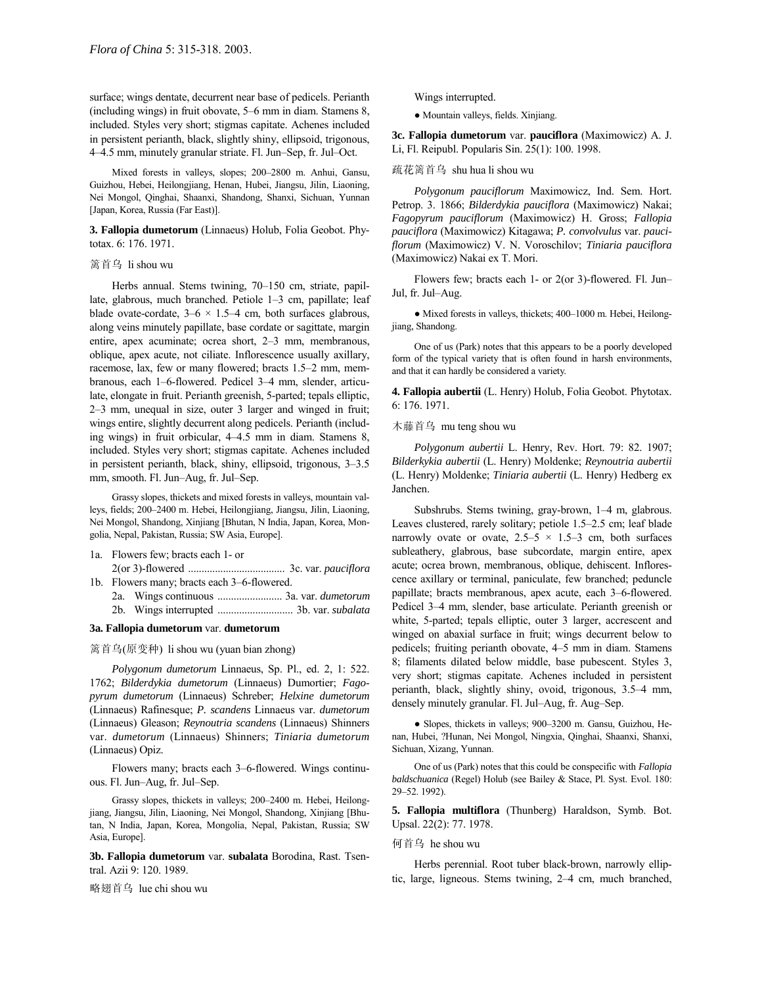surface; wings dentate, decurrent near base of pedicels. Perianth (including wings) in fruit obovate,  $5-6$  mm in diam. Stamens 8, included. Styles very short; stigmas capitate. Achenes included in persistent perianth, black, slightly shiny, ellipsoid, trigonous, 4–4.5 mm, minutely granular striate. Fl. Jun–Sep, fr. Jul–Oct.

Mixed forests in valleys, slopes; 200-2800 m. Anhui, Gansu, Guizhou, Hebei, Heilongjiang, Henan, Hubei, Jiangsu, Jilin, Liaoning, Nei Mongol, Qinghai, Shaanxi, Shandong, Shanxi, Sichuan, Yunnan [Japan, Korea, Russia (Far East)].

**3. Fallopia dumetorum** (Linnaeus) Holub, Folia Geobot. Phytotax. 6: 176. 1971.

### 篱首乌 li shou wu

Herbs annual. Stems twining,  $70-150$  cm, striate, papillate, glabrous, much branched. Petiole 1–3 cm, papillate; leaf blade ovate-cordate,  $3-6 \times 1.5-4$  cm, both surfaces glabrous, along veins minutely papillate, base cordate or sagittate, margin entire, apex acuminate; ocrea short, 2-3 mm, membranous, oblique, apex acute, not ciliate. Inflorescence usually axillary, racemose, lax, few or many flowered; bracts 1.5–2 mm, membranous, each 1-6-flowered. Pedicel 3-4 mm, slender, articulate, elongate in fruit. Perianth greenish, 5-parted; tepals elliptic,  $2-3$  mm, unequal in size, outer 3 larger and winged in fruit; wings entire, slightly decurrent along pedicels. Perianth (including wings) in fruit orbicular, 4-4.5 mm in diam. Stamens 8, included. Styles very short; stigmas capitate. Achenes included in persistent perianth, black, shiny, ellipsoid, trigonous,  $3-3.5$ mm, smooth. Fl. Jun-Aug, fr. Jul-Sep.

Grassy slopes, thickets and mixed forests in valleys, mountain valleys, fields; 200–2400 m. Hebei, Heilongjiang, Jiangsu, Jilin, Liaoning, Nei Mongol, Shandong, Xinjiang [Bhutan, N India, Japan, Korea, Mongolia, Nepal, Pakistan, Russia; SW Asia, Europe].

1a. Flowers few; bracts each 1- or

- 2(or 3)-flowered .................................... 3c. var. *pauciflora* 1b. Flowers many; bracts each 3-6-flowered.
	- 2a. Wings continuous ........................ 3a. var. *dumetorum* 2b. Wings interrupted ............................ 3b. var. *subalata*

#### **3a. Fallopia dumetorum** var. **dumetorum**

篱首乌(原变种) li shou wu (yuan bian zhong)

*Polygonum dumetorum* Linnaeus, Sp. Pl., ed. 2, 1: 522. 1762; *Bilderdykia dumetorum* (Linnaeus) Dumortier; *Fagopyrum dumetorum* (Linnaeus) Schreber; *Helxine dumetorum* (Linnaeus) Rafinesque; *P. scandens* Linnaeus var. *dumetorum* (Linnaeus) Gleason; *Reynoutria scandens* (Linnaeus) Shinners var. *dumetorum* (Linnaeus) Shinners; *Tiniaria dumetorum* (Linnaeus) Opiz.

Flowers many; bracts each 3–6-flowered. Wings continuous. Fl. Jun-Aug, fr. Jul-Sep.

Grassy slopes, thickets in valleys; 200-2400 m. Hebei, Heilongjiang, Jiangsu, Jilin, Liaoning, Nei Mongol, Shandong, Xinjiang [Bhutan, N India, Japan, Korea, Mongolia, Nepal, Pakistan, Russia; SW Asia, Europe].

**3b. Fallopia dumetorum** var. **subalata** Borodina, Rast. Tsentral. Azii 9: 120. 1989.

略翅首乌 lue chi shou wu

Wings interrupted.

● Mountain valleys, fields. Xinjiang.

**3c. Fallopia dumetorum** var. **pauciflora** (Maximowicz) A. J. Li, Fl. Reipubl. Popularis Sin. 25(1): 100. 1998.

### 疏花篱首乌 shu hua li shou wu

*Polygonum pauciflorum* Maximowicz, Ind. Sem. Hort. Petrop. 3. 1866; *Bilderdykia pauciflora* (Maximowicz) Nakai; *Fagopyrum pauciflorum* (Maximowicz) H. Gross; *Fallopia pauciflora* (Maximowicz) Kitagawa; *P. convolvulus* var. *pauciflorum* (Maximowicz) V. N. Voroschilov; *Tiniaria pauciflora* (Maximowicz) Nakai ex T. Mori.

Flowers few; bracts each 1- or 2(or 3)-flowered. Fl. Jun– Jul, fr. Jul-Aug.

• Mixed forests in valleys, thickets; 400-1000 m. Hebei, Heilongjiang, Shandong.

One of us (Park) notes that this appears to be a poorly developed form of the typical variety that is often found in harsh environments, and that it can hardly be considered a variety.

**4. Fallopia aubertii** (L. Henry) Holub, Folia Geobot. Phytotax. 6: 176. 1971.

木藤首乌 mu teng shou wu

*Polygonum aubertii* L. Henry, Rev. Hort. 79: 82. 1907; *Bilderkykia aubertii* (L. Henry) Moldenke; *Reynoutria aubertii* (L. Henry) Moldenke; *Tiniaria aubertii* (L. Henry) Hedberg ex Janchen.

Subshrubs. Stems twining, gray-brown, 1-4 m, glabrous. Leaves clustered, rarely solitary; petiole 1.5-2.5 cm; leaf blade narrowly ovate or ovate,  $2.5-5 \times 1.5-3$  cm, both surfaces subleathery, glabrous, base subcordate, margin entire, apex acute; ocrea brown, membranous, oblique, dehiscent. Inflorescence axillary or terminal, paniculate, few branched; peduncle papillate; bracts membranous, apex acute, each 3-6-flowered. Pedicel 3–4 mm, slender, base articulate. Perianth greenish or white, 5-parted; tepals elliptic, outer 3 larger, accrescent and winged on abaxial surface in fruit; wings decurrent below to pedicels; fruiting perianth obovate, 4–5 mm in diam. Stamens 8; filaments dilated below middle, base pubescent. Styles 3, very short; stigmas capitate. Achenes included in persistent perianth, black, slightly shiny, ovoid, trigonous, 3.5<sup>-4</sup> mm, densely minutely granular. Fl. Jul–Aug, fr. Aug–Sep.

• Slopes, thickets in valleys; 900–3200 m. Gansu, Guizhou, Henan, Hubei, ?Hunan, Nei Mongol, Ningxia, Qinghai, Shaanxi, Shanxi, Sichuan, Xizang, Yunnan.

One of us (Park) notes that this could be conspecific with *Fallopia baldschuanica* (Regel) Holub (see Bailey & Stace, Pl. Syst. Evol. 180: 29-52. 1992).

**5. Fallopia multiflora** (Thunberg) Haraldson, Symb. Bot. Upsal. 22(2): 77. 1978.

#### 何首乌 he shou wu

Herbs perennial. Root tuber black-brown, narrowly elliptic, large, ligneous. Stems twining,  $2-4$  cm, much branched,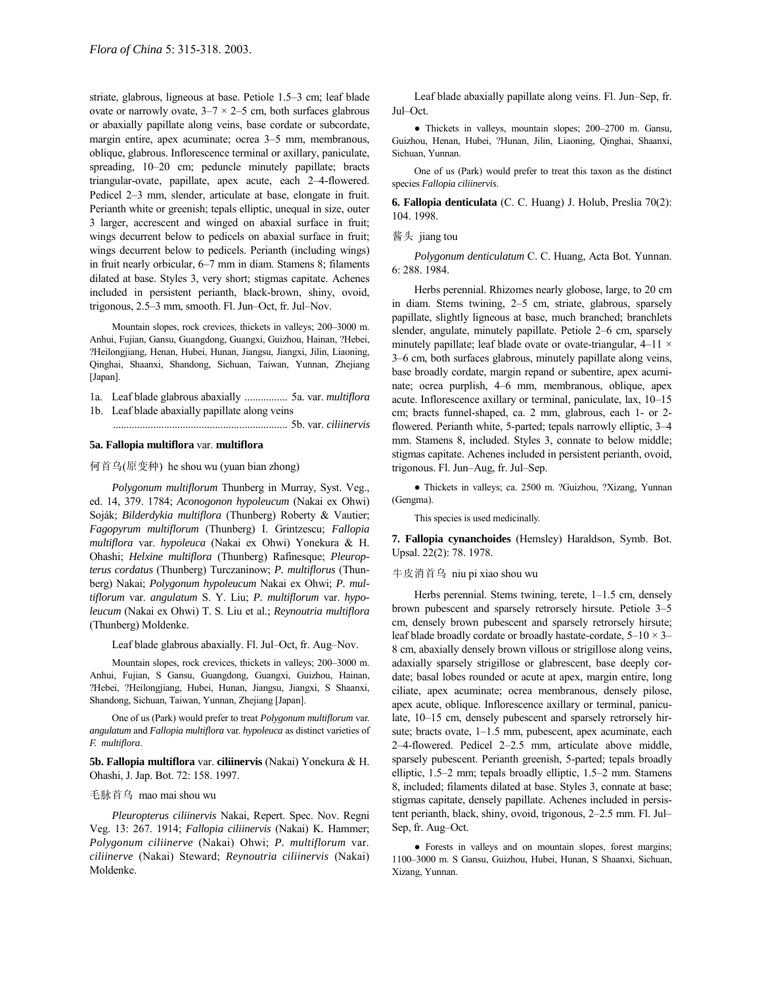striate, glabrous, ligneous at base. Petiole 1.5–3 cm; leaf blade ovate or narrowly ovate,  $3-7 \times 2-5$  cm, both surfaces glabrous or abaxially papillate along veins, base cordate or subcordate, margin entire, apex acuminate; ocrea 3–5 mm, membranous, oblique, glabrous. Inflorescence terminal or axillary, paniculate, spreading,  $10-20$  cm; peduncle minutely papillate; bracts triangular-ovate, papillate, apex acute, each 2-4-flowered. Pedicel 2–3 mm, slender, articulate at base, elongate in fruit. Perianth white or greenish; tepals elliptic, unequal in size, outer 3 larger, accrescent and winged on abaxial surface in fruit; wings decurrent below to pedicels on abaxial surface in fruit; wings decurrent below to pedicels. Perianth (including wings) in fruit nearly orbicular, 6-7 mm in diam. Stamens 8; filaments dilated at base. Styles 3, very short; stigmas capitate. Achenes included in persistent perianth, black-brown, shiny, ovoid, trigonous,  $2.5-3$  mm, smooth. Fl. Jun–Oct, fr. Jul–Nov.

Mountain slopes, rock crevices, thickets in valleys; 200-3000 m. Anhui, Fujian, Gansu, Guangdong, Guangxi, Guizhou, Hainan, ?Hebei, ?Heilongjiang, Henan, Hubei, Hunan, Jiangsu, Jiangxi, Jilin, Liaoning, Qinghai, Shaanxi, Shandong, Sichuan, Taiwan, Yunnan, Zhejiang [Japan].

1a. Leaf blade glabrous abaxially ................ 5a. var. *multiflora* 1b. Leaf blade abaxially papillate along veins

................................................................. 5b. var. *ciliinervis*

#### **5a. Fallopia multiflora** var. **multiflora**

何首乌(原变种) he shou wu (yuan bian zhong)

*Polygonum multiflorum* Thunberg in Murray, Syst. Veg., ed. 14, 379. 1784; *Aconogonon hypoleucum* (Nakai ex Ohwi) Soják; *Bilderdykia multiflora* (Thunberg) Roberty & Vautier; *Fagopyrum multiflorum* (Thunberg) I. Grintzescu; *Fallopia multiflora* var. *hypoleuca* (Nakai ex Ohwi) Yonekura & H. Ohashi; *Helxine multiflora* (Thunberg) Rafinesque; *Pleuropterus cordatus* (Thunberg) Turczaninow; *P. multiflorus* (Thunberg) Nakai; *Polygonum hypoleucum* Nakai ex Ohwi; *P. multiflorum* var. *angulatum* S. Y. Liu; *P. multiflorum* var. *hypoleucum* (Nakai ex Ohwi) T. S. Liu et al.; *Reynoutria multiflora* (Thunberg) Moldenke.

Leaf blade glabrous abaxially. Fl. Jul-Oct, fr. Aug-Nov.

Mountain slopes, rock crevices, thickets in valleys; 200-3000 m. Anhui, Fujian, S Gansu, Guangdong, Guangxi, Guizhou, Hainan, ?Hebei, ?Heilongjiang, Hubei, Hunan, Jiangsu, Jiangxi, S Shaanxi, Shandong, Sichuan, Taiwan, Yunnan, Zhejiang [Japan].

One of us (Park) would prefer to treat *Polygonum multiflorum* var. *angulatum* and *Fallopia multiflora* var. *hypoleuca* as distinct varieties of *F. multiflora*.

**5b. Fallopia multiflora** var. **ciliinervis** (Nakai) Yonekura & H. Ohashi, J. Jap. Bot. 72: 158. 1997.

### 毛脉首乌 mao mai shou wu

*Pleuropterus ciliinervis* Nakai, Repert. Spec. Nov. Regni Veg. 13: 267. 1914; *Fallopia ciliinervis* (Nakai) K. Hammer; *Polygonum ciliinerve* (Nakai) Ohwi; *P. multiflorum* var. *ciliinerve* (Nakai) Steward; *Reynoutria ciliinervis* (Nakai) Moldenke.

Leaf blade abaxially papillate along veins. Fl. Jun-Sep, fr. Jul-Oct.

• Thickets in valleys, mountain slopes; 200–2700 m. Gansu, Guizhou, Henan, Hubei, ?Hunan, Jilin, Liaoning, Qinghai, Shaanxi, Sichuan, Yunnan.

One of us (Park) would prefer to treat this taxon as the distinct species *Fallopia ciliinervis*.

**6. Fallopia denticulata** (C. C. Huang) J. Holub, Preslia 70(2): 104. 1998.

#### 酱头 jiang tou

*Polygonum denticulatum* C. C. Huang, Acta Bot. Yunnan. 6: 288. 1984.

Herbs perennial. Rhizomes nearly globose, large, to 20 cm in diam. Stems twining, 2-5 cm, striate, glabrous, sparsely papillate, slightly ligneous at base, much branched; branchlets slender, angulate, minutely papillate. Petiole 2–6 cm, sparsely minutely papillate; leaf blade ovate or ovate-triangular,  $4-11 \times$ 3–6 cm, both surfaces glabrous, minutely papillate along veins, base broadly cordate, margin repand or subentire, apex acuminate; ocrea purplish, 4–6 mm, membranous, oblique, apex acute. Inflorescence axillary or terminal, paniculate, lax,  $10-15$ cm; bracts funnel-shaped, ca. 2 mm, glabrous, each 1- or 2 flowered. Perianth white, 5-parted; tepals narrowly elliptic, 3–4 mm. Stamens 8, included. Styles 3, connate to below middle; stigmas capitate. Achenes included in persistent perianth, ovoid, trigonous. Fl. Jun–Aug, fr. Jul–Sep.

● Thickets in valleys; ca. 2500 m. ?Guizhou, ?Xizang, Yunnan (Gengma).

This species is used medicinally.

**7. Fallopia cynanchoides** (Hemsley) Haraldson, Symb. Bot. Upsal. 22(2): 78. 1978.

牛皮消首乌 niu pi xiao shou wu

Herbs perennial. Stems twining, terete,  $1-1.5$  cm, densely brown pubescent and sparsely retrorsely hirsute. Petiole 3-5 cm, densely brown pubescent and sparsely retrorsely hirsute; leaf blade broadly cordate or broadly hastate-cordate,  $5-10 \times 3$ 8 cm, abaxially densely brown villous or strigillose along veins, adaxially sparsely strigillose or glabrescent, base deeply cordate; basal lobes rounded or acute at apex, margin entire, long ciliate, apex acuminate; ocrea membranous, densely pilose, apex acute, oblique. Inflorescence axillary or terminal, paniculate, 10-15 cm, densely pubescent and sparsely retrorsely hirsute; bracts ovate, 1-1.5 mm, pubescent, apex acuminate, each 2-4-flowered. Pedicel 2-2.5 mm, articulate above middle, sparsely pubescent. Perianth greenish, 5-parted; tepals broadly elliptic, 1.5-2 mm; tepals broadly elliptic, 1.5-2 mm. Stamens 8, included; filaments dilated at base. Styles 3, connate at base; stigmas capitate, densely papillate. Achenes included in persistent perianth, black, shiny, ovoid, trigonous, 2-2.5 mm. Fl. Jul-Sep, fr. Aug-Oct.

● Forests in valleys and on mountain slopes, forest margins; 1100-3000 m. S Gansu, Guizhou, Hubei, Hunan, S Shaanxi, Sichuan, Xizang, Yunnan.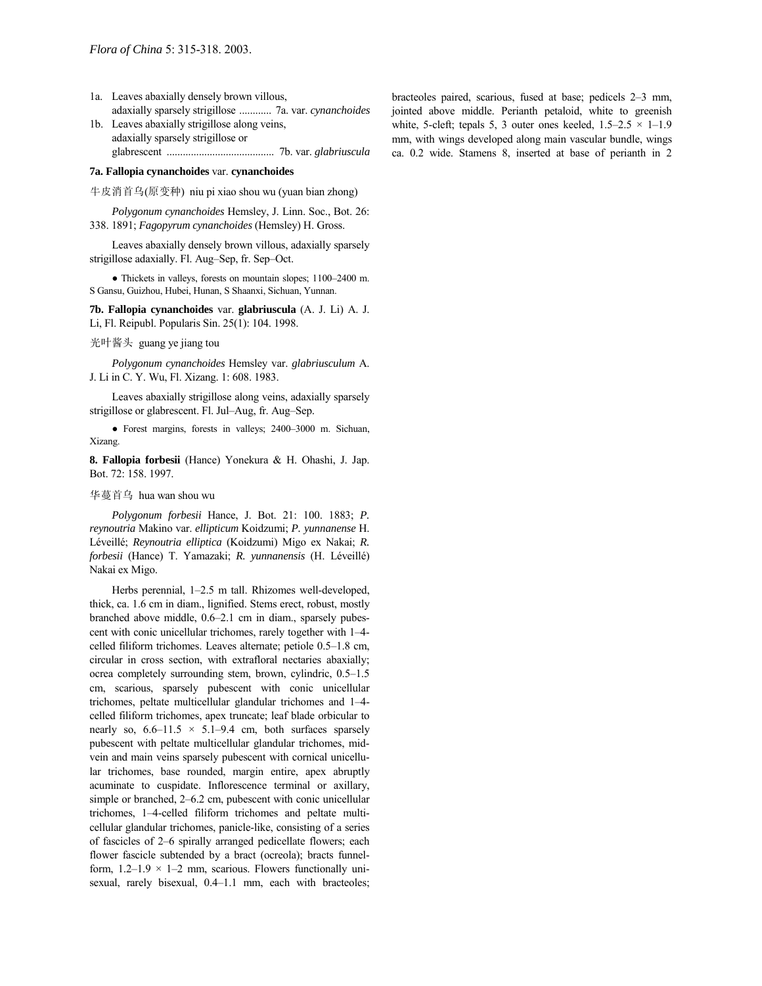- 1a. Leaves abaxially densely brown villous, adaxially sparsely strigillose ............ 7a. var. *cynanchoides*
- 1b. Leaves abaxially strigillose along veins, adaxially sparsely strigillose or glabrescent ........................................ 7b. var. *glabriuscula*

## **7a. Fallopia cynanchoides** var. **cynanchoides**

牛皮消首乌(原变种) niu pi xiao shou wu (yuan bian zhong)

*Polygonum cynanchoides* Hemsley, J. Linn. Soc., Bot. 26: 338. 1891; *Fagopyrum cynanchoides* (Hemsley) H. Gross.

Leaves abaxially densely brown villous, adaxially sparsely strigillose adaxially. Fl. Aug–Sep, fr. Sep–Oct.

 $\bullet$  Thickets in valleys, forests on mountain slopes; 1100–2400 m. S Gansu, Guizhou, Hubei, Hunan, S Shaanxi, Sichuan, Yunnan.

**7b. Fallopia cynanchoides** var. **glabriuscula** (A. J. Li) A. J. Li, Fl. Reipubl. Popularis Sin. 25(1): 104. 1998.

光叶酱头 guang ye jiang tou

*Polygonum cynanchoides* Hemsley var. *glabriusculum* A. J. Li in C. Y. Wu, Fl. Xizang. 1: 608. 1983.

Leaves abaxially strigillose along veins, adaxially sparsely strigillose or glabrescent. Fl. Jul–Aug, fr. Aug–Sep.

• Forest margins, forests in valleys; 2400-3000 m. Sichuan, Xizang.

**8. Fallopia forbesii** (Hance) Yonekura & H. Ohashi, J. Jap. Bot. 72: 158. 1997.

## 华蔓首乌 hua wan shou wu

*Polygonum forbesii* Hance, J. Bot. 21: 100. 1883; *P. reynoutria* Makino var. *ellipticum* Koidzumi; *P. yunnanense* H. LÈveillÈ; *Reynoutria elliptica* (Koidzumi) Migo ex Nakai; *R. forbesii* (Hance) T. Yamazaki; *R. yunnanensis* (H. LÈveillÈ) Nakai ex Migo.

Herbs perennial, 1-2.5 m tall. Rhizomes well-developed, thick, ca. 1.6 cm in diam., lignified. Stems erect, robust, mostly branched above middle,  $0.6-2.1$  cm in diam., sparsely pubescent with conic unicellular trichomes, rarely together with 1–4celled filiform trichomes. Leaves alternate; petiole  $0.5-1.8$  cm, circular in cross section, with extrafloral nectaries abaxially; ocrea completely surrounding stem, brown, cylindric,  $0.5-1.5$ cm, scarious, sparsely pubescent with conic unicellular trichomes, peltate multicellular glandular trichomes and 1-4celled filiform trichomes, apex truncate; leaf blade orbicular to nearly so,  $6.6-11.5 \times 5.1-9.4$  cm, both surfaces sparsely pubescent with peltate multicellular glandular trichomes, midvein and main veins sparsely pubescent with cornical unicellular trichomes, base rounded, margin entire, apex abruptly acuminate to cuspidate. Inflorescence terminal or axillary, simple or branched,  $2-6.2$  cm, pubescent with conic unicellular trichomes, 1-4-celled filiform trichomes and peltate multicellular glandular trichomes, panicle-like, consisting of a series of fascicles of 2–6 spirally arranged pedicellate flowers; each flower fascicle subtended by a bract (ocreola); bracts funnelform,  $1.2-1.9 \times 1-2$  mm, scarious. Flowers functionally unisexual, rarely bisexual, 0.4-1.1 mm, each with bracteoles; bracteoles paired, scarious, fused at base; pedicels 2-3 mm, jointed above middle. Perianth petaloid, white to greenish white, 5-cleft; tepals 5, 3 outer ones keeled,  $1.5-2.5 \times 1-1.9$ mm, with wings developed along main vascular bundle, wings ca. 0.2 wide. Stamens 8, inserted at base of perianth in 2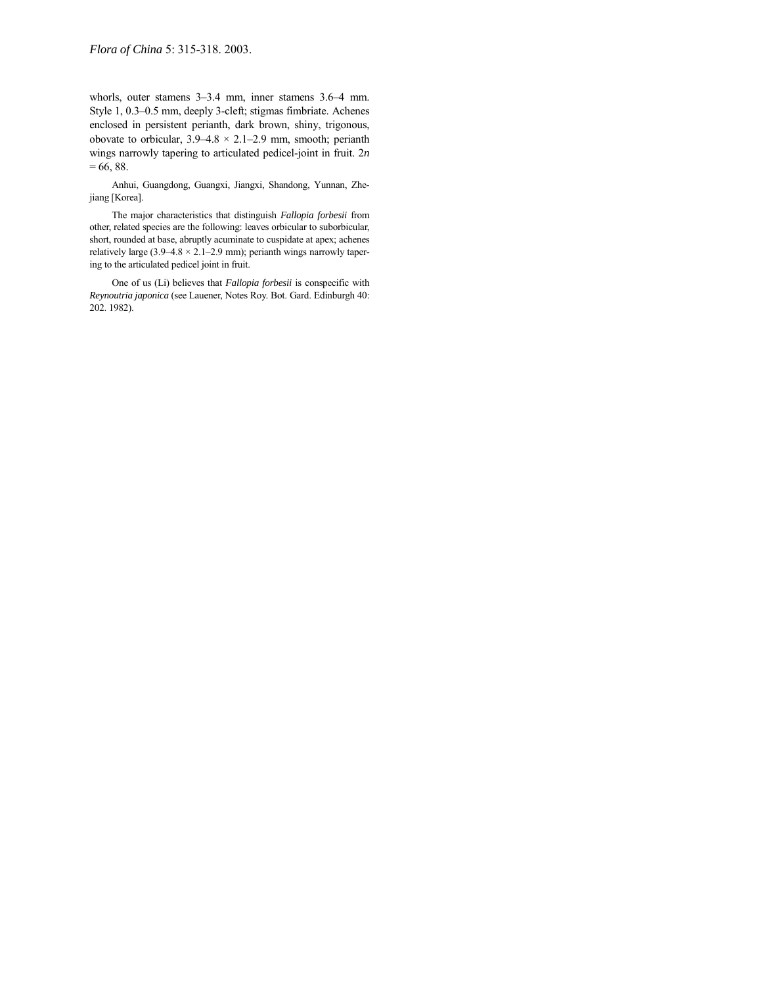whorls, outer stamens  $3-3.4$  mm, inner stamens  $3.6-4$  mm. Style 1, 0.3–0.5 mm, deeply 3-cleft; stigmas fimbriate. Achenes enclosed in persistent perianth, dark brown, shiny, trigonous, obovate to orbicular,  $3.9-4.8 \times 2.1-2.9$  mm, smooth; perianth wings narrowly tapering to articulated pedicel-joint in fruit. 2*n*  $= 66, 88.$ 

Anhui, Guangdong, Guangxi, Jiangxi, Shandong, Yunnan, Zhejiang [Korea].

The major characteristics that distinguish *Fallopia forbesii* from other, related species are the following: leaves orbicular to suborbicular, short, rounded at base, abruptly acuminate to cuspidate at apex; achenes relatively large (3.9–4.8  $\times$  2.1–2.9 mm); perianth wings narrowly tapering to the articulated pedicel joint in fruit.

One of us (Li) believes that *Fallopia forbesii* is conspecific with *Reynoutria japonica* (see Lauener, Notes Roy. Bot. Gard. Edinburgh 40: 202. 1982).